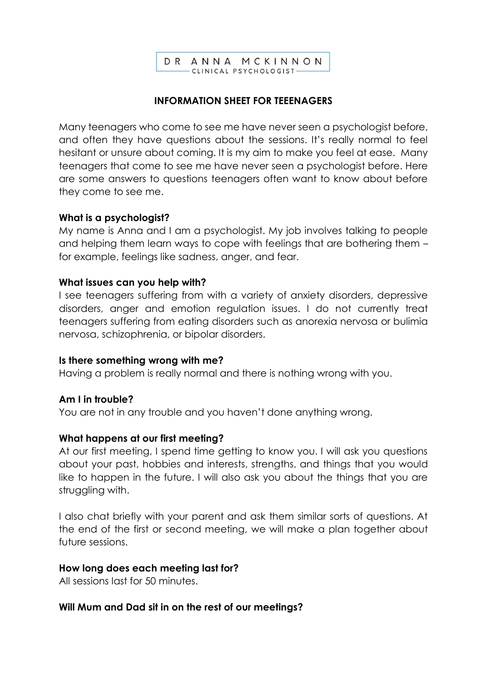

### **INFORMATION SHEET FOR TEEENAGERS**

Many teenagers who come to see me have never seen a psychologist before, and often they have questions about the sessions. It's really normal to feel hesitant or unsure about coming. It is my aim to make you feel at ease. Many teenagers that come to see me have never seen a psychologist before. Here are some answers to questions teenagers often want to know about before they come to see me.

### **What is a psychologist?**

My name is Anna and I am a psychologist. My job involves talking to people and helping them learn ways to cope with feelings that are bothering them – for example, feelings like sadness, anger, and fear.

#### **What issues can you help with?**

I see teenagers suffering from with a variety of anxiety disorders, depressive disorders, anger and emotion regulation issues. I do not currently treat teenagers suffering from eating disorders such as anorexia nervosa or bulimia nervosa, schizophrenia, or bipolar disorders.

#### **Is there something wrong with me?**

Having a problem is really normal and there is nothing wrong with you.

### **Am I in trouble?**

You are not in any trouble and you haven't done anything wrong.

#### **What happens at our first meeting?**

At our first meeting, I spend time getting to know you. I will ask you questions about your past, hobbies and interests, strengths, and things that you would like to happen in the future. I will also ask you about the things that you are struggling with.

I also chat briefly with your parent and ask them similar sorts of questions. At the end of the first or second meeting, we will make a plan together about future sessions.

#### **How long does each meeting last for?**

All sessions last for 50 minutes.

### **Will Mum and Dad sit in on the rest of our meetings?**